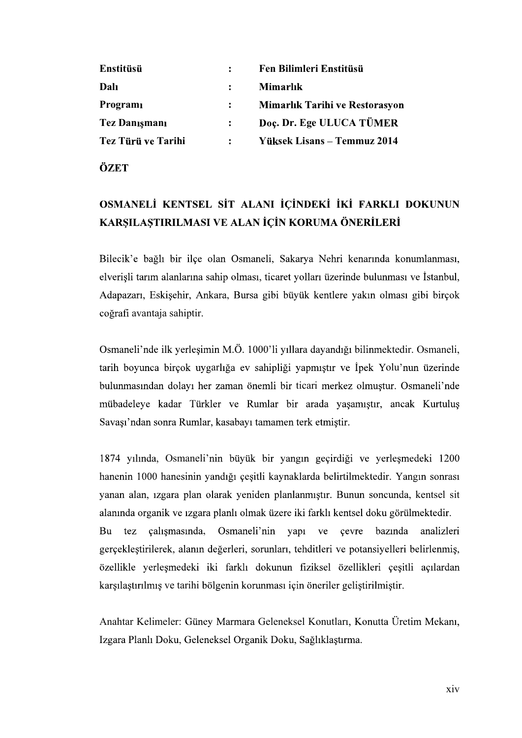| Enstitüsü          | :              | Fen Bilimleri Enstitüsü        |  |
|--------------------|----------------|--------------------------------|--|
| Dalı               | $\ddot{\cdot}$ | <b>Mimarlık</b>                |  |
| Programı           | $\ddot{\cdot}$ | Mimarlık Tarihi ve Restorasyon |  |
| Tez Danışmanı      | $\ddot{\cdot}$ | Doç. Dr. Ege ULUCA TÜMER       |  |
| Tez Türü ve Tarihi |                | Yüksek Lisans - Temmuz 2014    |  |
|                    | $\ddot{\cdot}$ |                                |  |
| ÖZET               |                |                                |  |

## KARŞILAŞTIRILMASI VE ALAN İÇİN KORUMA ÖNERİLERİ

Bilecik'e bağlı bir ilçe olan Osmaneli, Sakarya Nehri kenarında konumlanması, elverişli tarım alanlarına sahip olması, ticaret yolları üzerinde bulunması ve İstanbul, Adapazarı, Eskişehir, Ankara, Bursa gibi büyük kentlere yakın olması gibi birçok coğrafi avantaja sahiptir.

Osmaneli'nde ilk yerleşimin M.Ö. 1000'li yıllara dayandığı bilinmektedir. Osmaneli, tarih boyunca birçok uygarlığa ev sahipliği yapmıştır ve İpek Yolu'nun üzerinde bulunmasından dolayı her zaman önemli bir ticari merkez olmuştur. Osmaneli'nde mübadeleye kadar Türkler ve Rumlar bir arada yaşamıştır, ancak Kurtuluş Savaşı'ndan sonra Rumlar, kasabayı tamamen terk etmiştir.

1874 yılında, Osmaneli'nin büyük bir yangın geçirdiği ve yerleşmedeki 1200 hanenin 1000 hanesinin yandığı çeşitli kaynaklarda belirtilmektedir. Yangın sonrası yanan alan, izgara plan olarak yeniden planlanmıştır. Bunun soncunda, kentsel sit alanında organik ve ızgara planlı olmak üzere iki farklı kentsel doku görülmektedir. Bu tez calismasında, Osmaneli'nin yapı ve çevre bazında analizleri gerçekleştirilerek, alanın değerleri, sorunları, tehditleri ve potansiyelleri belirlenmiş, özellikle yerleşmedeki iki farklı dokunun fiziksel özellikleri çeşitli açılardan karşılaştırılmış ve tarihi bölgenin korunması için öneriler geliştirilmiştir.

Anahtar Kelimeler: Güney Marmara Geleneksel Konutları, Konutta Üretim Mekanı, Izgara Planlı Doku, Geleneksel Organik Doku, Sağlıklaştırma.